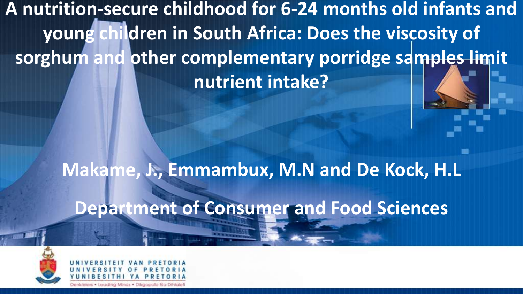**A nutrition-secure childhood for 6-24 months old infants and young children in South Africa: Does the viscosity of sorghum and other complementary porridge samples limit nutrient intake?**

> **Makame, J., Emmambux, M.N and De Kock, H.L Department of Consumer and Food Sciences**



Jenkleiers · Leading Minds · Dikgopolo tša Dihialet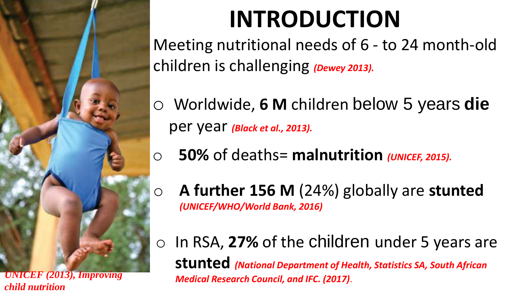

*child nutrition*

# **INTRODUCTION**

Meeting nutritional needs of 6 - to 24 month-old children is challenging *(Dewey 2013).* 

- o Worldwide, **6 M** children below 5 years **die**  per year *(Black et al., 2013).*
- o **50%** of deaths= **malnutrition** *(UNICEF, 2015).*
- o **A further 156 M** (24%) globally are **stunted** *(UNICEF/WHO/World Bank, 2016)*
- o In RSA, **27%** of the children under 5 years are **stunted** *(National Department of Health, Statistics SA, South African Medical Research Council, and IFC. (2017)*.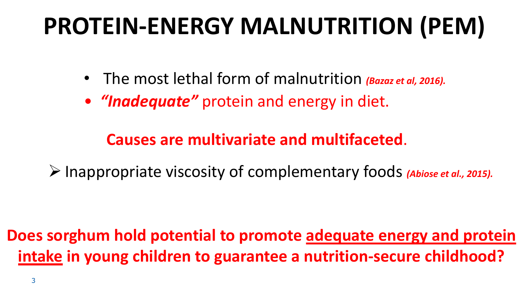# **PROTEIN-ENERGY MALNUTRITION (PEM)**

- The most lethal form of malnutrition *(Bazaz et al, 2016).*
- *"Inadequate"* protein and energy in diet.

### **Causes are multivariate and multifaceted**.

➢Inappropriate viscosity of complementary foods *(Abiose et al., 2015).*

**Does sorghum hold potential to promote adequate energy and protein intake in young children to guarantee a nutrition-secure childhood?**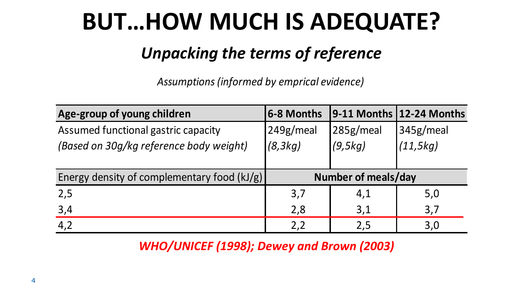## **BUT…HOW MUCH IS ADEQUATE?**

### *Unpacking the terms of reference*

*Assumptions (informed by emprical evidence)*

| Age-group of young children                 | 6-8 Months          |                      | 9-11 Months   12-24 Months |  |  |
|---------------------------------------------|---------------------|----------------------|----------------------------|--|--|
| Assumed functional gastric capacity         | 249g/meal           | 285g/meal            | 345g/meal                  |  |  |
| (Based on 30g/kg reference body weight)     | (8, 3kg)            | (11, 5kg)<br>(9,5kg) |                            |  |  |
|                                             |                     |                      |                            |  |  |
| Energy density of complementary food (kJ/g) | Number of meals/day |                      |                            |  |  |
| 2,5                                         | 3,7                 | 4,1                  | 5,0                        |  |  |
| 3,4                                         | 2,8                 | 3,1                  | 3,7                        |  |  |
| 4,2                                         | 2,2                 | 2,5                  | 3,0                        |  |  |

*WHO/UNICEF (1998); Dewey and Brown (2003)*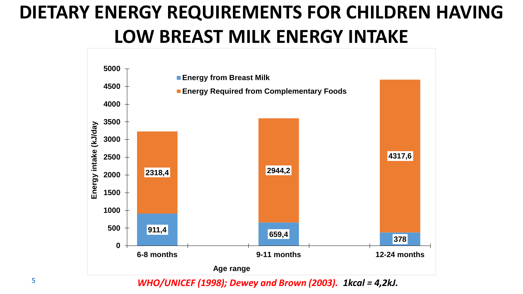### **DIETARY ENERGY REQUIREMENTS FOR CHILDREN HAVING LOW BREAST MILK ENERGY INTAKE**

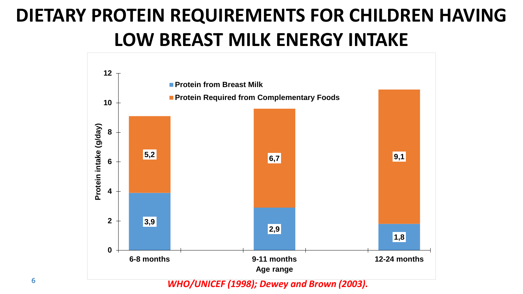### **DIETARY PROTEIN REQUIREMENTS FOR CHILDREN HAVING LOW BREAST MILK ENERGY INTAKE**



*WHO/UNICEF (1998); Dewey and Brown (2003).*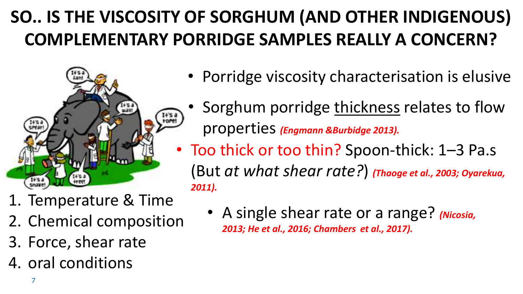### **SO.. IS THE VISCOSITY OF SORGHUM (AND OTHER INDIGENOUS) COMPLEMENTARY PORRIDGE SAMPLES REALLY A CONCERN?**



- Porridge viscosity characterisation is elusive
- Sorghum porridge thickness relates to flow properties *(Engmann &Burbidge 2013).*
- Too thick or too thin? Spoon-thick: 1–3 Pa.s (But *at what shear rate?*) *(Thaoge et al., 2003; Oyarekua, 2011).*
- 1. Temperature & Time
- 2. Chemical composition
- 3. Force, shear rate
- 4. oral conditions

• A single shear rate or a range? *(Nicosia, 2013; He et al., 2016; Chambers et al., 2017).*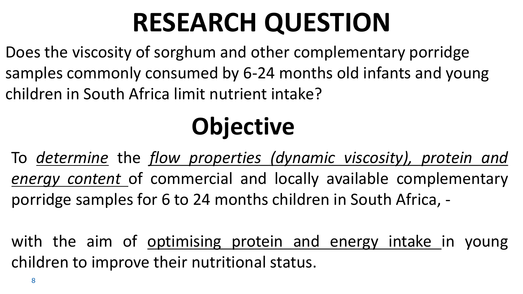# **RESEARCH QUESTION**

Does the viscosity of sorghum and other complementary porridge samples commonly consumed by 6-24 months old infants and young children in South Africa limit nutrient intake?

# **Objective**

To *determine* the *flow properties (dynamic viscosity), protein and energy content* of commercial and locally available complementary porridge samples for 6 to 24 months children in South Africa, -

with the aim of optimising protein and energy intake in young children to improve their nutritional status.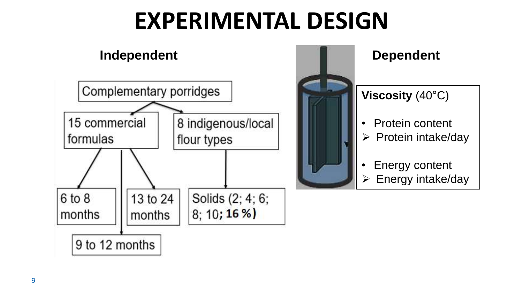## **EXPERIMENTAL DESIGN**

Solids (2; 4; 6;

 $8; 10; 16%$ 

#### **Independent Dependent** Complementary porridges 8 indigenous/local 15 commercial flour types formulas

13 to 24

months



# **Viscosity** (40°C)

- Protein content
- ➢ Protein intake/day
- Energy content
- ➢ Energy intake/day

6 to 8

months

9 to 12 months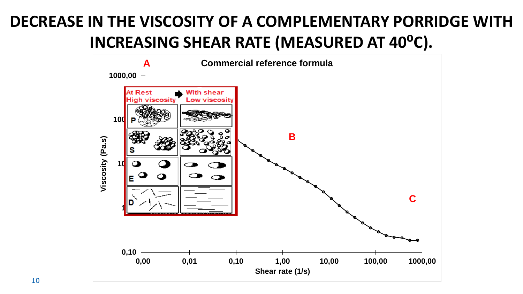### **DECREASE IN THE VISCOSITY OF A COMPLEMENTARY PORRIDGE WITH INCREASING SHEAR RATE (MEASURED AT 40<sup>o</sup>C).**

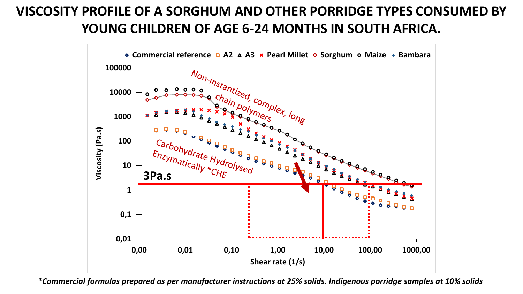#### **VISCOSITY PROFILE OF A SORGHUM AND OTHER PORRIDGE TYPES CONSUMED BY YOUNG CHILDREN OF AGE 6-24 MONTHS IN SOUTH AFRICA.**



*\*Commercial formulas prepared as per manufacturer instructions at 25% solids. Indigenous porridge samples at 10% solids*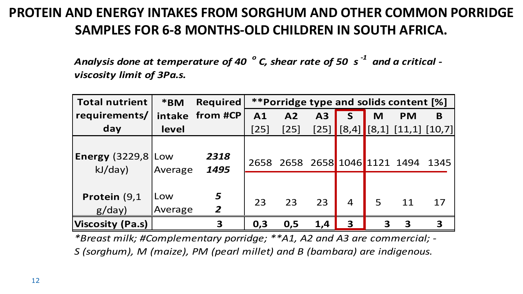#### **PROTEIN AND ENERGY INTAKES FROM SORGHUM AND OTHER COMMON PORRIDGE SAMPLES FOR 6-8 MONTHS-OLD CHILDREN IN SOUTH AFRICA.**

*Analysis done at temperature of 40 <sup>o</sup> C, shear rate of 50 s -1 and a critical viscosity limit of 3Pa.s.*

| viscosity limit of 3Pa.s.               |                |                     |                                               |                |     |                |   |                                    |    |  |
|-----------------------------------------|----------------|---------------------|-----------------------------------------------|----------------|-----|----------------|---|------------------------------------|----|--|
| <b>Total nutrient</b>                   | *BM            | <b>Required</b>     | <i>**Porridge type and solids content [%]</i> |                |     |                |   |                                    |    |  |
| requirements/                           |                | intake from #CP     | A1                                            | A <sub>2</sub> | A3  | S              | M | <b>PM</b>                          | B  |  |
| day                                     | level          |                     | $[25]$                                        | $[25]$         |     | $[25]$ [8,4]   |   | $\vert$ [8,1] [11,1] [10,7]        |    |  |
| <b>Energy</b> $(3229,8)$ Low<br>kJ/day) | Average        | 2318<br>1495        |                                               |                |     |                |   | 2658 2658 2658 1046 1121 1494 1345 |    |  |
| Protein (9,1<br>g/day)                  | Low<br>Average | 5<br>$\overline{2}$ | 23                                            | 23             | 23  | $\overline{4}$ | 5 | 11                                 | 17 |  |
| Viscosity (Pa.s)                        |                | 3                   | 0,3                                           | 0,5            | 1,4 | $\mathbf{3}$   | 3 | 3                                  | 3  |  |

*\*Breast milk; #Complementary porridge; \*\*A1, A2 and A3 are commercial; - S (sorghum), M (maize), PM (pearl millet) and B (bambara) are indigenous.*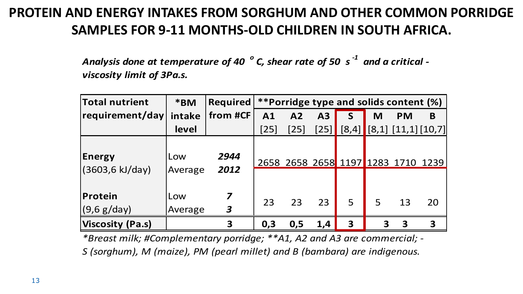#### **PROTEIN AND ENERGY INTAKES FROM SORGHUM AND OTHER COMMON PORRIDGE SAMPLES FOR 9-11 MONTHS-OLD CHILDREN IN SOUTH AFRICA.**

*Analysis done at temperature of 40 <sup>o</sup> C, shear rate of 50 s -1 and a critical viscosity limit of 3Pa.s.*

| VISCOSITY IIMIT OF 3PA.S.        |                |                                             |                                        |        |                |                                    |   |           |                           |
|----------------------------------|----------------|---------------------------------------------|----------------------------------------|--------|----------------|------------------------------------|---|-----------|---------------------------|
| Total nutrient                   | *BM            | <b>Required</b>                             | **Porridge type and solids content (%) |        |                |                                    |   |           |                           |
| requirement/day                  | intake         | from #CF                                    | A <sub>1</sub>                         | A2     | A <sub>3</sub> | S                                  | M | <b>PM</b> | B                         |
|                                  | level          |                                             | $[25]$                                 | $[25]$ | $[25]$         | [8,4]                              |   |           | $(8,1)$ $[11,1]$ $[10,7]$ |
| <b>Energy</b><br>(3603,6 kJ/day) | Low<br>Average | 2944<br>2012                                |                                        |        |                | 2658 2658 2658 1197 1283 1710 1239 |   |           |                           |
| Protein<br>$(9,6 \text{ g/day})$ | Low<br>Average | $\overline{\mathbf{z}}$<br>$\boldsymbol{3}$ | 23                                     | 23     | 23             | 5                                  | 5 | 13        | 20                        |
| Viscosity (Pa.s)                 |                | 3                                           | 0,3                                    | 0,5    | 1,4            | 3                                  | 3 | 3         | 3                         |

*\*Breast milk; #Complementary porridge; \*\*A1, A2 and A3 are commercial; - S (sorghum), M (maize), PM (pearl millet) and B (bambara) are indigenous.*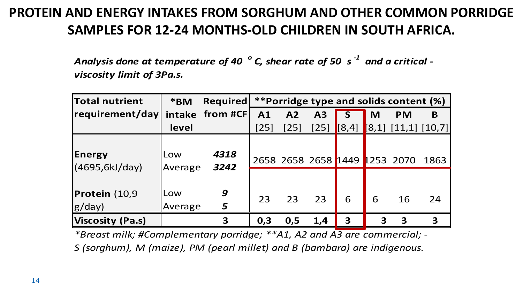#### **PROTEIN AND ENERGY INTAKES FROM SORGHUM AND OTHER COMMON PORRIDGE SAMPLES FOR 12-24 MONTHS-OLD CHILDREN IN SOUTH AFRICA.**

*Analysis done at temperature of 40 <sup>o</sup> C, shear rate of 50 s -1 and a critical viscosity limit of 3Pa.s.*

| viscosity limit of 3Pa.s. |                |                                                            |                |        |      |       |   |                               |      |
|---------------------------|----------------|------------------------------------------------------------|----------------|--------|------|-------|---|-------------------------------|------|
| <b>Total nutrient</b>     | *BM            | <i>**</i> Porridge type and solids content (%)<br>Required |                |        |      |       |   |                               |      |
| requirement/day           |                | intake from #CF                                            | A <sub>1</sub> | A2     | A3   |       | M | <b>PM</b>                     | B    |
|                           | level          |                                                            | $[25]$         | $[25]$ | [25] | [8,4] |   | [8,1] [11,1] [10,7]           |      |
| Energy<br>(4695,6kJ/day)  | Low<br>Average | 4318<br>3242                                               |                |        |      |       |   | 2658 2658 2658 1449 1253 2070 | 1863 |
| Protein (10,9<br>g/day)   | Low<br>Average | 9<br>$\overline{\mathbf{5}}$                               | 23             | 23     | 23   | 6     | 6 | 16                            | 24   |
| Viscosity (Pa.s)          |                | 3                                                          | 0,3            | 0,5    | 1,4  | 3     | 3 | 3                             | 3    |

*\*Breast milk; #Complementary porridge; \*\*A1, A2 and A3 are commercial; - S (sorghum), M (maize), PM (pearl millet) and B (bambara) are indigenous.*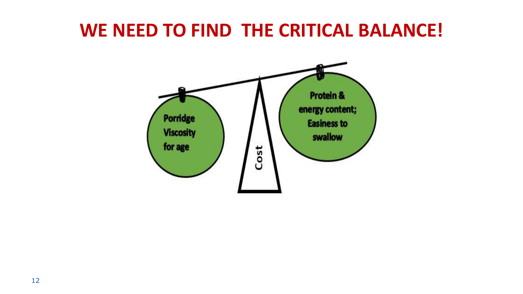### **WE NEED TO FIND THE CRITICAL BALANCE!**

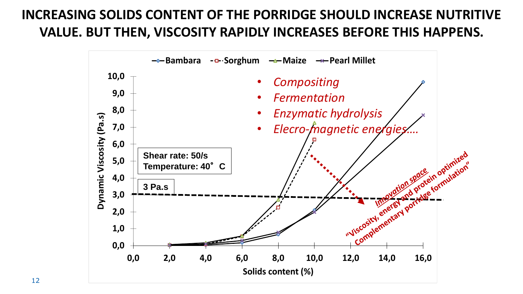#### **INCREASING SOLIDS CONTENT OF THE PORRIDGE SHOULD INCREASE NUTRITIVE VALUE. BUT THEN, VISCOSITY RAPIDLY INCREASES BEFORE THIS HAPPENS.**

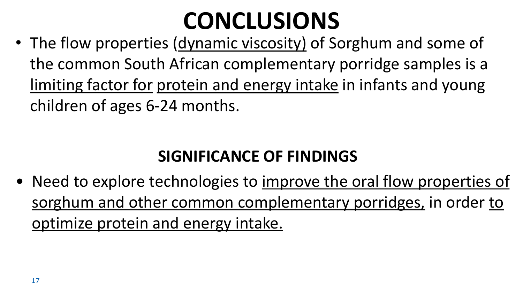# **CONCLUSIONS**

• The flow properties (dynamic viscosity) of Sorghum and some of the common South African complementary porridge samples is a limiting factor for protein and energy intake in infants and young children of ages 6-24 months.

### **SIGNIFICANCE OF FINDINGS**

• Need to explore technologies to improve the oral flow properties of sorghum and other common complementary porridges, in order to optimize protein and energy intake.